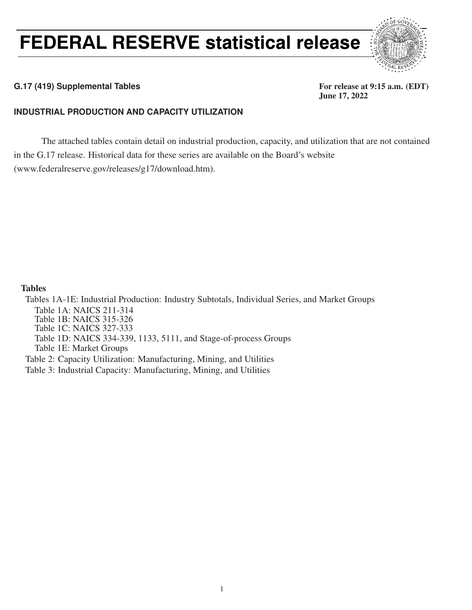# FEDERAL RESERVE statistical release



### G.17 (419) Supplemental Tables **For release at 9:15 a.m.** (EDT)

June 17, 2022

### **INDUSTRIAL PRODUCTION AND CAPACITY UTILIZATION**

The attached tables contain detail on industrial production, capacity, and utilization that are not contained in the G.17 release. Historical data for these series are available on the Board's website (www.federalreserve.gov/releases/g17/download.htm).

### Tables

Tables 1A-1E: Industrial Production: Industry Subtotals, Individual Series, and Market Groups Table 1A: NAICS 211-314 Table 1B: NAICS 315-326 Table 1C: NAICS 327-333 Table 1D: NAICS 334-339, 1133, 5111, and Stage-of-process Groups Table 1E: Market Groups Table 2: Capacity Utilization: Manufacturing, Mining, and Utilities

Table 3: Industrial Capacity: Manufacturing, Mining, and Utilities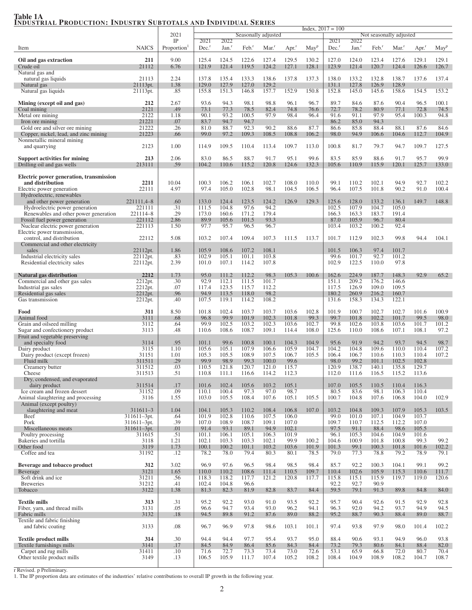## Table 1A<br><u>Industrial Production: Industry Subtotals and Individual Series</u>

|                                                                         |                                 | 2021                    |                     |                  |                     | Seasonally adjusted |                     |                  | $Index, 2017 = 100$ |                   |                     |                         |                     |                  |
|-------------------------------------------------------------------------|---------------------------------|-------------------------|---------------------|------------------|---------------------|---------------------|---------------------|------------------|---------------------|-------------------|---------------------|-------------------------|---------------------|------------------|
|                                                                         |                                 | IP                      | 2021                | 2022             |                     |                     |                     |                  | 2021                | 2022              |                     | Not seasonally adjusted |                     |                  |
| Item                                                                    | <b>NAICS</b>                    | Proportion <sup>1</sup> | $Dec.$ <sup>r</sup> | Jan <sup>r</sup> | $Feb.$ <sup>r</sup> | Mar <sup>r</sup>    | $Apr.$ <sup>r</sup> | May <sup>p</sup> | $Dec.$ <sup>r</sup> | Jan. <sup>r</sup> | $Feb.$ <sup>r</sup> | Mar <sup>1</sup>        | $Apr.$ <sup>r</sup> | May <sup>p</sup> |
| Oil and gas extraction                                                  | 211                             | 9.00                    | 125.4               | 124.5            | 122.6               | 127.4               | 129.5               | 130.2            | 127.0               | 124.0             | 123.4               | 127.6                   | 129.1               | 129.1            |
| Crude oil                                                               | 21112                           | 6.76                    | 121.9               | 121.4            | 119.5               | 124.2               | 127.1               | 128.1            | 123.9               | 121.4             | 120.7               | 124.4                   | 126.6               | 126.7            |
| Natural gas and<br>natural gas liquids                                  | 21113                           | 2.24                    | 137.8               | 135.4            | 133.3               | 138.6               | 137.8               | 137.3            | 138.0               | 133.2             | 132.8               | 138.7                   | 137.6               | 137.4            |
| Natural gas                                                             | 21113pt.                        | 1.38                    | 129.0               | 127.9            | 127.0               | 129.2               |                     |                  | 131.1               | 127.8             | 126.9               | 128.9                   |                     |                  |
| Natural gas liquids                                                     | 21113pt.                        | .85                     | 155.8               | 151.3            | 146.8               | 157.7               | 152.9               | 150.8            | 152.8               | 145.0             | 145.6               | 158.6                   | 154.5               | 153.2            |
| Mining (except oil and gas)                                             | 212                             | 2.67                    | 93.6                | 94.3             | 98.1                | 98.8                | 96.1                | 96.7             | 89.7                | 84.6              | 87.6                | 90.4                    | 96.5                | 100.1            |
| Coal mining                                                             | 2121                            | .49                     | 73.1                | 77.3             | 78.5                | 82.4                | 74.8                | 76.6             | 72.7                | 78.2              | 80.9                | 77.1                    | 72.8                | 74.5             |
| Metal ore mining<br>Iron ore mining                                     | 2122<br>21221                   | 1.18<br>.07             | 90.1<br>83.7        | 93.2<br>94.7     | 100.5<br>94.7       | 97.9                | 98.4                | 96.4             | 91.6<br>86.2        | 91.1<br>85.0      | 97.9<br>94.3        | 95.4                    | 100.3               | 94.8             |
| Gold ore and silver ore mining                                          | 21222                           | .26                     | 81.0                | 88.7             | 92.3                | 90.2                | 88.6                | 87.7             | 86.6                | 85.8              | 88.4                | 88.1                    | 87.6                | 84.6             |
| Copper, nickel, lead, and zinc mining<br>Nonmetallic mineral mining     | 21223                           | .66                     | 99.0                | 97.2             | 109.3               | 108.5               | 108.8               | 106.2            | 98.0                | 94.9              | 106.6               | 104.6                   | 112.7               | 104.9            |
| and quarrying                                                           | 2123                            | 1.00                    | 114.9               | 109.5            | 110.4               | 113.4               | 109.7               | 113.0            | 100.8               | 81.7              | 79.7                | 94.7                    | 109.7               | 127.5            |
| <b>Support activities for mining</b>                                    | 213                             | 2.06                    | 83.0                | 86.5             | 88.7                | 91.7                | 95.1                | 99.6             | 83.5                | 85.9              | 88.6                | 91.7                    | 95.7                | 99.9             |
| Drilling oil and gas wells                                              | 213111                          | .59                     | 104.2               | 110.6            | 115.2               | 120.8               | 124.6               | 132.3            | 105.6               | 110.9             | 115.9               | 120.1                   | 125.7               | 133.0            |
| Electric power generation, transmission                                 |                                 |                         |                     |                  |                     |                     |                     |                  |                     |                   |                     |                         |                     |                  |
| and distribution                                                        | 2211                            | 10.04                   | 100.3               | 106.2            | 106.1               | 102.7               | 108.0               | 110.0            | 99.1                | 110.2             | 102.1               | 94.9                    | 92.7                | 102.2            |
| Electric power generation<br>Hydroelectric, renewables                  | 22111                           | 4.97                    | 97.4                | 105.0            | 102.8               | 98.1                | 104.5               | 106.5            | 96.4                | 107.5             | 101.8               | 90.2                    | 91.0                | 100.4            |
| and other power generation                                              | 221111,4-8                      | .60                     | 133.0               | 124.4            | 123.5               | 124.2               | 126.9               | 129.3            | 125.6               | 128.0             | 133.2               | 136.1                   | 149.7               | 148.8            |
| Hydroelectric power generation<br>Renewables and other power generation | 221111<br>221114-8              | .31<br>.29              | 111.5<br>173.0      | 104.8<br>160.6   | 97.6<br>171.2       | 94.2<br>179.4       |                     |                  | 102.5<br>166.3      | 107.9<br>163.3    | 104.7<br>183.7      | 105.0<br>191.4          |                     |                  |
| Fossil fuel power generation                                            | 221112                          | 2.86                    | 89.9                | 105.6            | 101.5               | 93.3                |                     |                  | 87.0                | 105.9             | 96.7                | 80.4                    |                     |                  |
| Nuclear electric power generation<br>Electric power transmission,       | 221113                          | 1.50                    | 97.7                | 95.7             | 96.5                | 96.7                |                     |                  | 103.4               | 103.2             | 100.2               | 92.4                    |                     |                  |
| control, and distribution                                               | 22112                           | 5.08                    | 103.2               | 107.4            | 109.4               | 107.3               | 111.5               | 113.7            | 101.7               | 112.9             | 102.3               | 99.8                    | 94.4                | 104.1            |
| Commercial and other electricity                                        |                                 |                         |                     |                  |                     |                     |                     |                  |                     |                   |                     |                         |                     |                  |
| sales<br>Industrial electricity sales                                   | 22112pt.<br>22112pt.            | 1.86<br>.83             | 105.9<br>102.9      | 108.6<br>105.1   | 107.2<br>101.1      | 108.1<br>103.8      |                     |                  | 101.5<br>99.6       | 106.3<br>101.7    | 97.4<br>92.7        | 101.7<br>101.2          |                     |                  |
| Residential electricity sales                                           | 22112pt.                        | 2.39                    | 101.0               | 107.1            | 114.2               | 107.8               |                     |                  | 102.9               | 122.5             | 110.0               | 97.8                    |                     |                  |
| Natural gas distribution                                                | 2212                            | 1.73                    | 95.0                | 111.2            | 112.2               | 98.3                | 105.3               | 100.6            | 162.6               | 224.9             | 187.7               | 148.3                   | 92.9                | 65.2             |
| Commercial and other gas sales                                          | 2212pt.                         | .30                     | 92.9                | 112.1            | 111.5               | 101.7               |                     |                  | 151.1               | 209.2             | 176.2               | 146.6                   |                     |                  |
| Industrial gas sales                                                    | 2212pt.                         | .07<br>.96              | 117.4               | 123.5            | 115.7               | 112.2<br>98.2       |                     |                  | 117.5               | 126.9             | 109.0               | 109.5                   |                     |                  |
| Residential gas sales<br>Gas transmission                               | 2212pt.<br>2212pt.              | .40                     | 94.9<br>107.5       | 113.5<br>119.1   | 118.0<br>114.2      | 108.2               |                     |                  | 180.2<br>131.6      | 260.9<br>158.3    | 216.2<br>134.3      | 160.7<br>122.1          |                     |                  |
|                                                                         |                                 |                         |                     |                  |                     |                     |                     |                  |                     |                   |                     |                         |                     |                  |
| Food<br>Animal food                                                     | 311<br>3111                     | 8.50<br>.68             | 101.8<br>96.8       | 102.4<br>99.9    | 103.7<br>101.9      | 103.7<br>102.3      | 103.6<br>101.8      | 102.8<br>99.3    | 101.9<br>99.7       | 100.7<br>101.8    | 102.7<br>102.2      | 102.7<br>101.7          | 101.6<br>99.5       | 100.9<br>98.0    |
| Grain and oilseed milling                                               | 3112                            | .64                     | 99.9                | 102.5            | 103.2               | 102.3               | 103.6               | 102.7            | 99.8                | 102.6             | 103.8               | 103.6                   | 101.7               | 101.2            |
| Sugar and confectionery product<br>Fruit and vegetable preserving       | 3113                            | .48                     | 110.6               | 108.6            | 108.7               | 109.1               | 114.4               | 108.0            | 125.6               | 110.0             | 108.6               | 107.1                   | 108.1               | 97.2             |
| and specialty food                                                      | 3114                            | .95                     | 101.1               | 99.6             | 100.8               | 100.1               | 104.3               | 104.9            | 95.6                | 91.9              | 94.2                | 93.7                    | 94.5                | 98.7             |
| Dairy product<br>Dairy product (except frozen)                          | 3115<br>31151                   | 1.10<br>1.01            | 105.6<br>105.3      | 105.1<br>105.5   | 107.9<br>108.9      | 106.6<br>107.5      | 105.9<br>106.7      | 104.7<br>105.5   | 104.2<br>106.4      | 104.8<br>106.7    | 109.6<br>110.6      | 110.0<br>110.3          | 110.4<br>110.4      | 107.2<br>107.2   |
| Fluid milk                                                              | 311511                          | .29                     | 99.9                | 98.9             | 99.3                | 100.0               | 99.6                |                  | 98.0                | 99.2              | 101.1               | 102.5                   | 102.8               |                  |
| Creamery butter                                                         | 311512                          | .03                     | 110.5               | 121.8            | 120.7               | 121.0               | 115.7               |                  | 120.9               | 138.7             | 140.1               | 135.8                   | 129.7               |                  |
| Cheese<br>Dry, condensed, and evaporated                                | 311513                          | .51                     | 110.8               | 111.1            | 116.6               | 114.2               | 112.3               |                  | 112.0               | 111.6             | 116.5               | 115.2                   | 113.6               |                  |
| dairy product                                                           | 311514                          | .17                     | 101.6               | 102.4            | 105.6               | 103.2               | 105.1               |                  | 107.0               | 105.5             | 110.5               | 110.4                   | 116.3               |                  |
| Ice cream and frozen dessert<br>Animal slaughtering and processing      | 31152<br>3116                   | .09<br>1.55             | 110.1<br>103.0      | 100.4<br>105.5   | 97.3<br>108.4       | 97.0<br>107.6       | 98.7<br>105.1       | 105.5            | 80.5<br>100.7       | 83.6<br>104.8     | 98.1<br>107.6       | 106.3<br>106.8          | 110.4<br>104.0      | 102.9            |
| Animal (except poultry)                                                 |                                 |                         |                     |                  |                     |                     |                     |                  |                     |                   |                     |                         |                     |                  |
| slaughtering and meat<br>Beef                                           | $311611 - 3$<br>$311611 - 3pt.$ | 1.04<br>.64             | 104.1<br>101.9      | 105.3<br>102.8   | 110.2<br>110.6      | 108.4<br>107.5      | 106.8<br>106.0      | 107.0            | 103.2<br>99.0       | 104.8<br>101.0    | 109.3<br>107.1      | 107.9<br>104.9          | 105.3<br>103.7      | 103.5            |
| Pork                                                                    | $311611 - 3pt.$                 | .39                     | 107.0               | 108.9            | 108.7               | 109.1               | 107.0               |                  | 109.7               | 110.7             | 112.5               | 112.2                   | 107.0               |                  |
| Miscellaneous meats<br>Poultry processing                               | $311611 - 3pt.$<br>311615       | .01<br>.51              | 91.4<br>101.1       | 93.1<br>106.1    | 89.1<br>105.1       | 94.9<br>106.3       | 102.1<br>101.9      |                  | 97.5<br>96.1        | 91.1<br>105.3     | 88.4<br>104.6       | 98.6<br>104.9           | 105.5<br>101.6      |                  |
| Bakeries and tortilla                                                   | 3118                            | 1.21                    | 102.1               | 103.3            | 103.3               | 102.1               | 99.9                | 100.2            | 104.6               | 100.9             | 101.8               | 100.8                   | 99.3                | 99.2             |
| Other food<br>Coffee and tea                                            | 3119<br>31192                   | 1.73<br>.12             | 100.1<br>78.2       | 100.2<br>78.0    | 101.1<br>79.4       | 103.2<br>80.3       | 103.6<br>80.1       | 101.9<br>78.5    | 101.3<br>79.0       | 99.1<br>77.3      | 100.3<br>78.8       | 101.8<br>79.2           | 101.6<br>78.9       | 102.2<br>79.1    |
|                                                                         |                                 |                         |                     |                  |                     |                     |                     |                  |                     |                   |                     |                         |                     |                  |
| Beverage and tobacco product<br>Beverage                                | 312<br>3121                     | 3.02<br>1.65            | 96.9<br>110.0       | 97.6<br>110.2    | 96.5<br>108.6       | 98.4<br>111.4       | 98.5<br>110.5       | 98.4<br>109.7    | 85.7<br>110.4       | 92.2<br>102.6     | 100.3<br>105.9      | 104.1<br>115.3          | 99.1<br>110.6       | 99.2<br>111.7    |
| Soft drink and ice                                                      | 31211                           | .56                     | 118.3               | 118.2            | 117.7               | 121.2               | 120.8               | 117.7            | 115.8               | 115.1             | 115.9               | 119.7                   | 119.0               | 120.6            |
| <b>Breweries</b>                                                        | 31212                           | .41                     | 102.4               | 104.8            | 96.6                |                     |                     |                  | 92.2                | 92.7              | 90.9                |                         |                     |                  |
| Tobacco                                                                 | 3122                            | 1.38                    | 81.3                | 82.3             | 81.9                | 82.8                | 83.7                | 84.4             | 59.5                | 79.1              | 91.3                | 89.8                    | 84.8                | 84.0             |
| <b>Textile mills</b>                                                    | 313                             | .31                     | 95.2                | 92.2             | 93.0                | 91.0                | 93.5                | 92.2             | 95.7                | 90.4              | 92.6                | 91.5                    | 92.9                | 92.8             |
| Fiber, yarn, and thread mills<br>Fabric mills                           | 3131<br>3132                    | .05<br>.18              | 96.6<br>94.5        | 94.7<br>89.8     | 93.4<br>91.2        | 93.0<br>87.6        | 96.2<br>89.0        | 94.1<br>88.2     | 96.3<br>95.2        | 92.0<br>88.7      | 94.2<br>90.3        | 93.7<br>88.4            | 94.9<br>89.0        | 94.5<br>88.7     |
| Textile and fabric finishing                                            |                                 |                         |                     |                  |                     |                     |                     |                  |                     |                   |                     |                         |                     |                  |
| and fabric coating                                                      | 3133                            | .08                     | 96.7                | 96.9             | 97.8                | 98.6                | 103.1               | 101.1            | 97.4                | 93.8              | 97.9                | 98.0                    | 101.4               | 102.2            |
| <b>Textile product mills</b>                                            | 314                             | .30                     | 94.4                | 94.4             | 97.7                | 95.4                | 93.7                | 95.0             | 88.4                | 90.6              | 93.1                | 94.9                    | 96.0                | 93.8             |
| Textile furnishings mills                                               | 3141                            | .17                     | 84.5                | 84.9             | 86.4                | 85.6                | 84.3                | 84.4             | 73.2                | 79.3              | 80.6                | 84.1                    | 88.4                | 82.0             |
| Carpet and rug mills<br>Other textile product mills                     | 31411<br>3149                   | .10<br>.13              | 71.6<br>106.5       | 72.7<br>105.9    | 73.3<br>111.7       | 73.4<br>107.4       | 73.0<br>105.2       | 72.6<br>108.2    | 53.1<br>108.4       | 65.9<br>104.9     | 66.8<br>108.9       | 72.0<br>108.2           | 80.7<br>104.7       | 70.4<br>108.7    |
|                                                                         |                                 |                         |                     |                  |                     |                     |                     |                  |                     |                   |                     |                         |                     |                  |

r Revised. p Preliminary. 1. The IP proportion data are estimates of the industries' relative contributions to overall IP growth in the following year.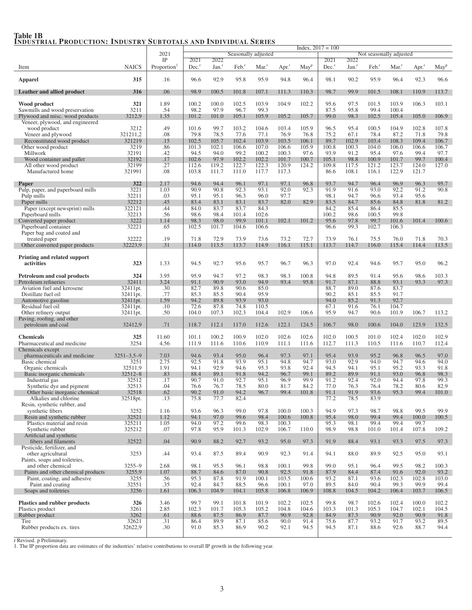|                                                       |                          |                         |                     |                   |                     |                     |                     |                     | $Index, 2017 = 100$ |                   |                     |                         |                     |                  |
|-------------------------------------------------------|--------------------------|-------------------------|---------------------|-------------------|---------------------|---------------------|---------------------|---------------------|---------------------|-------------------|---------------------|-------------------------|---------------------|------------------|
|                                                       |                          | 2021<br>IP              | 2021                | 2022              |                     | Seasonally adjusted |                     |                     | 2021                | 2022              |                     | Not seasonally adjusted |                     |                  |
| Item                                                  | <b>NAICS</b>             | Proportion <sup>1</sup> | $Dec.$ <sup>r</sup> | Jan. <sup>r</sup> | $Feb.$ <sup>r</sup> | $Mar.$ <sup>r</sup> | $Apr.$ <sup>r</sup> | $M$ ay <sup>p</sup> | $Dec.$ <sup>r</sup> | Jan. <sup>r</sup> | $Feb.$ <sup>r</sup> | Mar <sup>r</sup>        | $Apr.$ <sup>r</sup> | May <sup>p</sup> |
|                                                       |                          |                         |                     |                   |                     |                     |                     |                     |                     |                   |                     |                         |                     |                  |
| <b>Apparel</b>                                        | 315                      | .16                     | 96.6                | 92.9              | 95.8                | 95.9                | 94.8                | 96.4                | 98.1                | 90.2              | 95.9                | 96.4                    | 92.3                | 96.6             |
| Leather and allied product                            | 316                      | .06                     | 98.9                | 100.5             | 101.8               | 107.1               | 111.3               | 110.3               | 98.7                | 99.9              | 101.5               | 108.1                   | 110.9               | 113.7            |
|                                                       |                          |                         |                     |                   |                     |                     |                     |                     |                     |                   |                     |                         |                     |                  |
| Wood product                                          | 321                      | 1.89                    | 100.2               | 100.0             | 102.5               | 103.9               | 104.9               | 102.2               | 95.6                | 97.5              | 101.5               | 103.9                   | 106.3               | 103.1            |
| Sawmills and wood preservation                        | 3211                     | .54                     | 98.2                | 97.9              | 96.7                | 99.3                |                     |                     | 87.5                | 95.8              | 99.4                | 100.4                   |                     |                  |
| Plywood and misc. wood products                       | 3212,9                   | 1.35                    | 101.2               | 101.0             | 105.1               | 105.9               | 105.2               | 105.7               | 99.0                | 98.3              | 102.5               | 105.4                   | 105.0               | 106.9            |
| Veneer, plywood, and engineered<br>wood product       | 3212                     | .49                     | 101.6               | 99.7              | 103.2               | 104.6               | 103.4               | 105.9               | 96.5                | 95.4              | 100.5               | 104.9                   | 102.8               | 107.8            |
| Veneer and plywood                                    | 321211,2                 | .08                     | 79.8                | 78.5              | 77.6                | 77.1                | 76.9                | 76.8                | 75.2                | 67.1              | 78.4                | 87.2                    | 71.8                | 79.8             |
| Reconstituted wood product                            | 321219                   | .15                     | 102.5               | 105.7             | 102.4               | 103.9               | 103.5               | 106.1               | 89.7                | 102.9             | 103.4               | 108.3                   | 109.4               | 106.7            |
| Other wood product                                    | 3219                     | .86                     | 101.3               | 102.1             | 106.6               | 107.0               | 106.6               | 105.9               | 100.8               | 100.3             | 104.0               | 106.0                   | 106.6               | 106.7            |
| Millwork                                              | 32191                    | .42                     | 94.5                | 94.0              | 99.2                | 100.2               | 100.3               | 97.6                | 93.9                | 91.2              | 95.4                | 97.6                    | 99.4                | 97.7             |
| Wood container and pallet                             | 32192                    | .17                     | 102.6               | 97.9              | 102.2               | 102.2               | 101.7               | 100.7               | 105.1               | 98.8              | 100.9               | 101.7                   | 99.7                | 100.4            |
| All other wood product<br>Manufactured home           | 32199                    | .27<br>.08              | 112.6<br>103.8      | 119.2<br>111.7    | 122.7               | 122.3               | 120.9<br>117.3      | 124.2               | 109.8<br>86.6       | 117.5<br>108.1    | 121.2<br>116.1      | 123.7<br>122.9          | 124.0<br>121.7      | 127.0            |
|                                                       | 321991                   |                         |                     |                   | 111.0               | 117.7               |                     |                     |                     |                   |                     |                         |                     |                  |
| Paper                                                 | 322                      | 2.17                    | 94.6                | 94.4              | 96.1                | 97.1                | 97.1                | 96.8                | 93.7                | 94.7              | 96.4                | 96.9                    | 96.3                | 95.7             |
| Pulp, paper, and paperboard mills                     | 3221                     | 1.03                    | 90.9                | 90.8              | 92.3                | 93.1                | 92.0                | 92.3                | 91.9                | 91.6              | 93.0                | 92.2                    | 91.2                | 90.8             |
| Pulp mills                                            | 32211                    | .03                     | 95.1                | 95.1              | 96.3                | 96.0                | 97.7                |                     | 98.1                | 94.7              | 96.6                | 93.4                    | 95.6                |                  |
| Paper mills                                           | 32212                    | .45                     | 83.4                | 83.1              | 83.1                | 83.7                | 82.0                | 82.9                | 83.5                | 84.7              | 85.6                | 84.8                    | 81.8                | 81.2             |
| Paper (except newsprint) mills                        | 322121                   | .44                     | 84.0                | 83.7              | 83.7                | 84.3                |                     |                     | 84.2                | 85.4              | 86.4                | 85.5                    |                     |                  |
| Paperboard mills<br>Converted paper product           | 32213<br>3222            | .56<br>1.14             | 98.6<br>98.3        | 98.4<br>98.0      | 101.4<br>99.9       | 102.6<br>101.1      | 102.1               | 101.2               | 100.2<br>95.6       | 98.6<br>97.8      | 100.5<br>99.7       | 99.8<br>101.6           | 101.4               | 100.6            |
| Paperboard container                                  | 32221                    | .65                     | 102.5               | 101.7             | 104.6               | 106.6               |                     |                     | 96.6                | 99.3              | 102.7               | 106.3                   |                     |                  |
| Paper bag and coated and                              |                          |                         |                     |                   |                     |                     |                     |                     |                     |                   |                     |                         |                     |                  |
| treated paper                                         | 32222                    | .19                     | 71.8                | 72.9              | 73.9                | 73.6                | 73.2                | 72.7                | 73.9                | 76.1              | 75.5                | 76.0                    | 71.8                | 70.3             |
| Other converted paper products                        | 32223.9                  | .31                     | 114.0               | 113.5             | 113.7               | 114.9               | 116.1               | 115.1               | 113.7               | 114.7             | 116.0               | 115.4                   | 114.4               | 113.5            |
|                                                       |                          |                         |                     |                   |                     |                     |                     |                     |                     |                   |                     |                         |                     |                  |
| Printing and related support                          |                          |                         |                     |                   |                     |                     |                     |                     |                     |                   |                     |                         |                     |                  |
| activities                                            | 323                      | 1.33                    | 94.5                | 92.7              | 95.6                | 95.7                | 96.7                | 96.3                | 97.0                | 92.4              | 94.6                | 95.7                    | 95.0                | 96.2             |
| Petroleum and coal products                           | 324                      | 3.95                    | 95.9                | 94.7              | 97.2                | 98.3                | 98.3                | 100.8               | 94.8                | 89.5              | 91.4                | 95.6                    | 98.6                | 103.3            |
| Petroleum refineries                                  | 32411                    | 3.24                    | 91.1                | 90.9              | 93.0                | 94.9                | 93.4                | 95.8                | 91.7                | 87.1              | 88.8                | 93.1                    | 93.3                | 97.3             |
| Aviation fuel and kerosene                            | 32411pt.                 | .30                     | 82.7                | 89.8              | 90.6                | 85.0                |                     |                     | 88.7                | 89.0              | 87.6                | 83.7                    |                     |                  |
| Distillate fuel oil                                   | 32411pt.                 | .77                     | 85.3                | 85.5              | 90.4                | 95.9                |                     |                     | 90.2                | 85.1              | 85.5                | 91.7                    |                     |                  |
| Automotive gasoline                                   | 32411pt.                 | 1.59                    | 94.2                | 89.8              | 93.9                | 93.0                |                     |                     | 94.0                | 85.2              | 91.3                | 92.7                    |                     |                  |
| Residual fuel oil                                     | 32411pt.                 | .10                     | 72.6                | 87.8              | 74.8                | 110.5               |                     |                     | 67.1                | 91.6              | 76.1                | 104.7                   |                     |                  |
| Other refinery output<br>Paving, roofing, and other   | 32411pt.                 | .50                     | 104.0               | 107.3             | 102.3               | 104.4               | 102.9               | 106.6               | 95.9                | 94.7              | 90.6                | 101.9                   | 106.7               | 113.2            |
| petroleum and coal                                    | 32412,9                  | .71                     | 118.7               | 112.1             | 117.0               | 112.6               | 122.1               | 124.5               | 106.7               | 98.0              | 100.6               | 104.0                   | 123.9               | 132.5            |
|                                                       |                          |                         |                     |                   |                     |                     |                     |                     |                     |                   |                     |                         |                     |                  |
| <b>Chemicals</b>                                      | 325                      | 11.60                   | 101.1               | 100.2             | 100.9               | 102.0               | 102.6               | 102.6               | 102.0               | 100.5             | 101.0               | 102.4                   | 102.0               | 102.9            |
| Pharmaceutical and medicine                           | 3254                     | 4.56                    | 111.9               | 111.6             | 110.6               | 110.9               | 111.1               | 111.6               | 112.7               | 111.3             | 110.5               | 111.6                   | 110.7               | 112.4            |
| Chemicals except                                      |                          |                         |                     |                   |                     |                     |                     |                     |                     |                   |                     |                         |                     |                  |
| pharmaceuticals and medicine<br><b>Basic</b> chemical | $3251 - 3,5 - 9$<br>3251 | 7.03<br>2.75            | 94.6<br>92.5        | 93.4<br>91.8      | 95.0<br>93.9        | 96.4<br>95.1        | 97.3<br>94.8        | 97.1<br>94.7        | 95.4<br>93.0        | 93.9<br>92.9      | 95.2<br>94.0        | 96.8<br>94.7            | 96.5<br>94.6        | 97.0<br>94.0     |
| Organic chemicals                                     | 32511,9                  | 1.91                    | 94.1                | 92.9              | 94.6                | 95.3                | 93.8                | 92.4                | 94.5                | 94.1              | 95.1                | 95.2                    | 93.3                | 91.8             |
| Basic inorganic chemicals                             | $32512 - 8$              | .83                     | 88.4                | 89.1              | 91.8                | 94.2                | 96.7                | 99.1                | 89.2                | 89.9              | 91.1                | 93.0                    | 96.8                | 98.3             |
| Industrial gas                                        | 32512                    | .17                     | 90.7                | 91.0              | 92.7                | 95.1                | 96.9                | 99.9                | 91.2                | 92.4              | 92.0                | 94.4                    | 97.8                | 99.3             |
| Synthetic dye and pigment                             | 32513                    | .04                     | 76.6                | 76.7              | 78.5                | 80.0                | 81.7                | 84.2                | 77.0                | 76.3              | 76.4                | 78.2                    | 80.6                | 82.9             |
| Other basic inorganic chemical                        | 32518                    | .62                     | 90.2                | 91.0              | 94.2                | 96.7                | 99.4                | 101.8               | 91.1                | 91.9              | 93.6                | 95.3                    | 99.4                | 101.0            |
| Alkalies and chlorine<br>Resin, synthetic rubber, and | 32518pt.                 | .13                     | 75.8                | 77.7              | 82.4                |                     |                     |                     | 77.2                | 78.5              | 83.9                |                         |                     |                  |
| synthetic fibers                                      | 3252                     | 1.16                    | 93.6                | 96.3              | 99.0                | 97.8                | 100.0               | 100.3               | 94.9                | 97.3              | 98.7                | 98.8                    | 99.5                | 99.9             |
| Resin and synthetic rubber                            | 32521                    | 1.12                    | 94.1                | 97.0              | 99.6                | 98.4                | 100.6               | 100.8               | 95.4                | 98.0              | 99.4                | 99.4                    | 100.0               | 100.5            |
| Plastics material and resin                           | 325211                   | 1.05                    | 94.0                | 97.2              | 99.6                | 98.3                | 100.3               |                     | 95.3                | 98.1              | 99.4                | 99.4                    | 99.7                |                  |
| Synthetic rubber                                      | 325212                   | .07                     | 97.8                | 95.9              | 101.3               | 102.9               | 106.7               | 110.0               | 98.9                | 98.8              | 101.0               | 101.4                   | 107.8               | 109.2            |
| Artificial and synthetic                              |                          |                         |                     |                   |                     |                     |                     |                     |                     |                   |                     |                         |                     |                  |
| fibers and filaments<br>Pesticide, fertilizer, and    | 32522                    | .04                     | 90.9                | 88.2              | 92.7                | 93.2                | 95.0                | 97.3                | 91.9                | 88.4              | 93.1                | 93.3                    | 97.5                | 97.3             |
| other agricultural                                    | 3253                     | .44                     | 93.4                | 87.5              | 89.4                | 90.9                | 92.3                | 91.4                | 94.1                | 88.0              | 89.9                | 92.5                    | 95.0                | 93.1             |
| Paints, soaps and toiletries,                         |                          |                         |                     |                   |                     |                     |                     |                     |                     |                   |                     |                         |                     |                  |
| and other chemical                                    | $3255 - 9$               | 2.68                    | 98.1                | 95.5              | 96.1                | 98.8                | 100.1               | 99.8                | 99.0                | 95.1              | 96.4                | 99.5                    | 98.2                | 100.3            |
| Paints and other chemical products                    | 3255,9                   | 1.07                    | 88.7                | 84.6              | 87.0                | 90.8                | 92.5                | 91.8                | 87.9                | 84.4              | 87.4                | 91.6                    | 92.0                | 93.2             |
| Paint, coating, and adhesive                          | 3255                     | .56                     | 95.3                | 87.8              | 91.9                | 100.1               | 103.5               | 100.6               | 93.2                | 87.1              | 93.6                | 102.3                   | 102.8               | 103.0            |
| Paint and coating<br>Soaps and toiletries             | 32551<br>3256            | .35<br>1.61             | 92.4<br>106.3       | 84.7<br>104.9     | 88.5<br>104.1       | 96.6<br>105.8       | 100.1<br>106.8      | 97.0<br>106.9       | 89.5<br>108.8       | 84.0<br>104.5     | 90.4<br>104.2       | 99.3<br>106.4           | 99.9<br>103.7       | 99.4<br>106.5    |
|                                                       |                          |                         |                     |                   |                     |                     |                     |                     |                     |                   |                     |                         |                     |                  |
| <b>Plastics and rubber products</b>                   | 326                      | 3.46                    | 99.7                | 99.1              | 101.8               | 101.9               | 102.2               | 102.5               | 99.8                | 98.7              | 102.6               | 102.4                   | 100.0               | 102.2            |
| Plastics product                                      | 3261                     | 2.85                    | 102.3               | 101.7             | 105.3               | 105.2               | 104.8               | 104.6               | 103.3               | 101.3             | 105.3               | 104.7                   | 102.1               | 104.5            |
| Rubber product                                        | 3262                     | .61                     | 88.6                | 87.5              | 86.9                | 87.7                | 90.9                | 92.8                | 84.9                | 87.3              | 90.9                | 92.0                    | 90.9                | 91.8             |
| Tire                                                  | 32621                    | .31                     | 86.4                | 89.9              | 87.1                | 85.6                | 90.0                | 91.4                | 75.6                | 87.7              | 93.2                | 91.7                    | 93.2                | 89.5             |
| Rubber products ex. tires                             | 32622,9                  | .30                     | 91.0                | 85.3              | 86.9                | 90.2                | 92.1                | 94.5                | 94.5                | 87.1              | 88.6                | 92.6                    | 88.7                | 94.4             |

# Table 1B<br>Industrial Production: Industry Subtotals and Individual Series

r Revised. p Preliminary. 1. The IP proportion data are estimates of the industries' relative contributions to overall IP growth in the following year.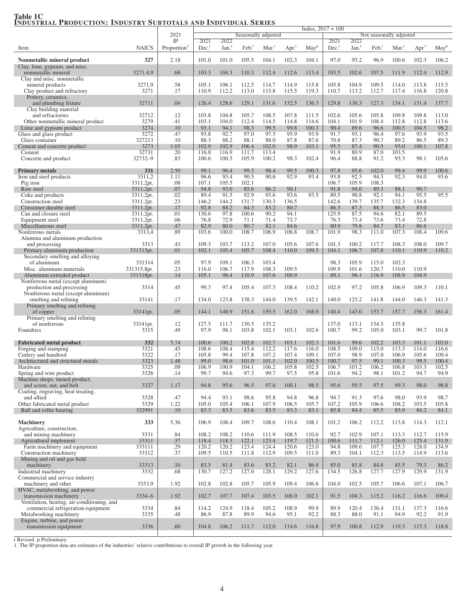#### $Index, 2017 = 100$ 2021 Seasonally adjusted Not seasonally adjusted<br>
TP 2021 2022 IP 2021 2022 2021 2022 Item NAICS Proportion<sup>1</sup> Dec. Jan.<sup>r</sup> Feb.<sup>r</sup> Mar.<sup>r</sup> Apr.<sup>r</sup> May<sup>p</sup> Dec.<sup>r</sup> Jan.<sup>r</sup> Feb.<sup>r</sup> Mar.<sup>r</sup> Apr.<sup>r</sup> May<sup>p</sup> Nonmetallic mineral product 327 | 2.18 | 101.0 101.0 105.5 104.1 102.3 104.1 | 97.0 93.2 96.9 100.6 102.3 106.2 Clay, lime, gypsum, and misc. nonmetallic mineral 3271,4,9 .68 103.3 104.3 110.3 112.4 112.6 113.4 103.5 102.6 107.5 111.9 112.4 112.9 Clay and misc. nonmetallic mineral products 3271,9 .58 105.1 106.1 112.5 114.7 114.9 115.8 105.8 104.9 109.5 114.0 113.8 115.5 Clay product and refractory 3271 .17 110.9 112.2 113.0 115.8 115.5 119.3 110.7 113.2 112.7 117.4 116.8 120.8 Pottery, ceramics, and plumbing fixture 32711 .04 126.4 128.6 129.1 131.6 132.5 136.3 129.8 130.3 127.3 134.1 131.4 137.7 Clay building material and refractories **32712** .12 103.8 104.8 105.7 108.5 107.8 111.5 102.6 105.6 105.8 109.8 109.8 113.0 Other nonmetallic mineral product 3279 .41 103.1 104.0 112.4 114.5 114.6 104.1 101.9 108.4 112.8 112.8 113.6 .<br>
ime and gypsum product 3274 .10 93.1 94.1 98.3 99.5 99.8 100.3 90.4 89.6 96.6 100.5 104.5 98.2 Lime and gypsum product<br>
3274 10 93.1 94.1 98.3 99.5 99.8 100.3 90.4 89.6 96.6 100.5 104.5 98.2<br>
3272 .47 93.8 92.7 97.0 97.5 95.9 93.9 91.7 93.1 96.4 97.6 93.9 93.9 Glass and glass product **3272** 3272 13 3272 13 10 38.3 92.7 97.0 97.5 95.9 93.9 91.7 93.1 96.4 97.6 93.9 93.5 327213 10 38.3 88.2 88.1 88.0 87.8 87.6 70.8 87.3 90.7 89.2 86.5 89.3 Glass container 327213 .10 88.3 88.2 88.1 88.0 87.8 87.6 70.8 87.3 90.7 89.2 86.5 89.3 Cement and concrete product 3273 1.03 102.9 102.9 106.4 102.0 98.9 103.1 95.5 87.4 90.5 95.0 100.1 107.8<br>Cement 32731 20 116.8 116.9 111.7 113.4 91.9 80.9 87.0 103.5 Cement 22731 32731 20 116.8 116.9 111.7 113.4 91.9 80.9 87.0 103.5 Concrete and product 32732–9 .83 100.6 100.5 105.9 100.2 98.3 102.4 96.4 88.8 91.2 93.3 98.1 105.6 **Primary metals** 331 331 2.50 99.1 96.4 99.3 98.4 99.5 100.3 97.8 95.6 102.0 99.4 99.9 100.6 Iron and steel products 3311,2 1.11 96.6 93.4 90.5 90.6 92.9 93.4 93.8 92.5 94.3 92.3 94.0 93.6 Pig iron 105.9 108.3 109.3 108.3 107.1 107.1 105.5 102.1 105.9 106.7 105.9 108.3 Raw steel 3311,2pt. 07 94.8 93.0 85.6 86.2 90.1 91.8 94.0 89.3 88.1 90.7 Coke and products 3311,2pt. 3311,2pt. 1 .02 89.4 91.5 92.9 93.6 93.6 93.5 89.5 90.8 92.1 94.1 95.5 95.5 Construction steel 2311,2pt. | 23 | 146.2 144.2 131.7 130.3 136.5 | 142.6 139.7 135.7 132.3 134.8 Consumer durable steel 3311,2pt. 17 92.8 88.2 84.3 83.2 80.7 86.3 87.3 88.3 86.5 83.0<br>Can and closure steel 3311,2pt. 01 130.6 97.8 100.6 90.2 94.1 125.9 87.5 94.6 82.1 89.5 Can and closure steel 3311,2pt. | 0.01 | 130.6 97.8 100.6 90.2 94.1 | 125.9 87.5 94.6 82.1 89.5 Equipment steel 3311,2pt. .06 76.8 72.9 71.1 71.4 73.7 76.3 73.4 73.6 73.4 72.8 Miscellaneous steel 3311,2pt. 47 82.9 80.0 80.7 82.1 84.6 80.9 79.8 84.7 83.1 86.6<br>Nonferrous metals 3313,4 .89 103.6 100.0 108.7 106.9 106.8 108.7 101.9 98.3 111.0 107.3 108.4 Nonferrous metals **108.4 3313,4** .89 **103.6 100.0 108.7 106.9 106.8 108.7 101.9 98.3 111.0 107.3 108.4 109.6** Alumina and aluminum production and processing 2313 .43 109.3 103.7 113.2 107.0 105.6 107.6 101.3 100.2 117.7 108.3 108.0 109.7 Primary aluminum production 331313pt. .01 102.1 105.4 105.7 108.4 110.0 109.3 104.1 106.7 107.8 110.1 110.9 110.2 Secondary smelting and alloying<br>of aluminum of aluminum 331314 .05 97.9 109.1 106.3 103.4 98.3 105.9 115.0 102.3 Misc. aluminum materials 331315,8pt. .23 116.0 106.7 117.9 108.3 109.5 109.9 101.6 120.7 110.0 110.9 101.9 101<br>Aluminum extruded product 331313bt. .14 105.1 98.4 110.9 107.6 100.9 89.1 96.1 116.9 108.9 104.9 Aluminum extruded product 331318pt. .14 105.1 98.4 110.9 107.6 100.9 89.1 96.1 116.9 108.9 104.9 Nonferrous metal (except aluminum) production and processing 3314 .45 99.3 97.4 105.4 107.3 108.4 110.2 102.9 97.2 105.8 106.9 109.3 110.1 Nonferrous metal (except aluminum) smelting and refining **33141** .17 134.0 123.8 138.3 144.0 139.5 142.1 140.0 123.2 141.8 144.0 146.3 141.3 Primary smelting and refining<br>of copper of copper 33141pt. ... 33141pt. ... 05 144.1 148.9 151.6 159.5 162.0 168.0 140.4 143.0 153.7 157.7 156.3 161.4 Primary smelting and refining of nonferrous 33141pt. 12 127.5 111.7 130.5 135.2 137.0 113.1 134.3 135.8 Foundries 3315 .49 97.9 98.1 103.8 102.1 103.1 102.6 100.7 99.2 105.0 103.1 99.7 101.8 Fabricated metal product 332 5.74 100.6 100.2 102.8 102.7 103.1 102.3 101.6 99.6 102.2 103.3 101.1 103.0<br>Forging and stamping Forging and stamping 3321 3321 45 108.6 108.4 115.4 112.2 117.6 116.0 108.5 109.0 115.0 115.0 114.0 116.6<br>Cutlery and handtool 3322 117 105.8 99.4 107.8 107.2 107.4 109.1 107.0 98.9 107.0 106.9 105.6 109.4 Cutlery and handtool **3322** 17 105.8 99.4 107.8 107.2 107.4 109.1 107.0 98.9 107.0 106.9 105.6 109.4 Architectural and structural metals 3323 1.48 99.0 98.6 101.0 101.1 102.0 100.5 100.7 97.5 99.1 100.3 99.5 100.4<br>Hardware 3325 .09 106.9 100.9 104.1 106.2 105.8 102.5 106.7 103.2 106.2 106.8 103.3 102.5 Hardware 3325 .09 106.9 100.9 104.1 106.2 105.8 102.5 106.7 103.2 106.2 106.8 103.3 102.5 Spring and wire product **3326** 1.4 99.7 94.6 97.3 99.7 97.5 95.8 101.6 94.2 98.1 101.2 94.7 94.9 Machine shops; turned product; and screw, nut, and bolt 3327 1.17 94.8 95.6 96.5 97.6 100.1 98.5 95.6 95.5 97.5 99.3 98.0 98.8 Coating, engraving, heat treating, and allied 3328 .47 94.4 93.1 98.6 95.8 94.8 96.8 94.7 91.3 97.6 98.0 93.9 98.7 Other fabricated metal product 3329 1.22 1.22 1.05.0 105.4 106.1 107.9 106.5 105.7 107.2 105.9 106.6 108.2 103.5 105.8<br>Ball and roller bearing 332991 1.10 83.3 83.5 83.6 83.5 83.3 83.1 85.8 84.4 85.5 85.9 84.2 84.1 Ball and roller bearing Machinery 333 5.36 106.9 108.4 109.7 108.6 110.4 108.1 101.2 106.2 112.2 113.8 114.3 112.1 113.8 114.3 112.1 Agriculture, construction, and mining machinery 3331 .84 108.2 108.2 110.6 111.9 108.5 110.6 92.7 102.9 107.1 113.3 112.7 115.9 Agricultural implement 133311 33311 33311 33311 33311 33311 33311 33311 33311 334 312.1 121.5 100.6 111.7 112.1 126.0 125.4 131.9<br>Farm machinery and equipment 333111 329 120.2 120.2 123.4 124.4 120.6 123.0 94.8 109.6 107.7 Farm machinery and equipment 333111 .29 120.2 120.2 123.4 124.4 120.6 123.0 94.8 109.6 107.7 125.3 128.0 134.9<br>Construction machinery 33312 .37 109.5 110.5 111.8 112.9 109.5 111.0 89.3 104.1 112.3 113.5 114.9 113.6 Construction machinery Mining and oil and gas field machinery 33313 33313 10 83.5 81.4 83.6 85.2 82.1 86.9 85.0 81.8 84.8 85.5 79.3 86.2 Industrial machinery 3332 .68 130.7 127.2 127.0 128.1 129.2 127.6 134.5 126.8 127.7 127.9 129.9 131.9 Commercial and service industry machinery and other 3333,9 1.92 102.8 102.8 105.7 105.9 109.4 106.6 104.0 102.5 105.7 106.6 107.1 106.7 HVAC, metalworking, and power transmission machinery 3334–6 1.92 102.7 107.7 107.4 103.5 106.0 102.1 91.5 104.3 115.2 116.2 116.6 109.4 Ventilation, heating, air-conditioning, and commercial refrigeration equipment 3334 334 334 36.9 87.8 89.9 118.4 105.2 108.9 99.9 89.9 120.4 136.4 131.1 137.3 116.6<br>etalworking machinery 3335 48 86.9 87.8 89.9 94.6 95.1 92.2 88.3 88.0 91.1 94.9 92.2 91.9 Metalworking machinery Engine, turbine, and power transmission equipment 3336 .60 104.8 106.2 111.7 112.0 114.6 116.8 97.9 100.8 112.9 119.3 115.3 118.8

#### Table 1C INDUSTRIAL PRODUCTION: INDUSTRY SUBTOTALS AND INDIVIDUAL SERIES

r Revised. p Preliminary.

1. The IP proportion data are estimates of the industries' relative contributions to overall IP growth in the following year.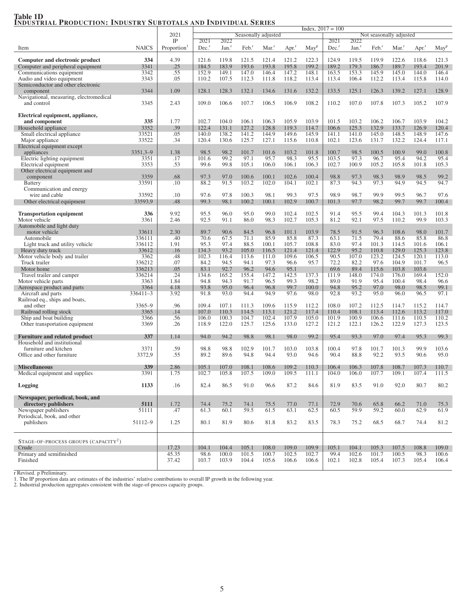## Table 1D<br>Industrial Production: Industry Subtotals and Individual Series

|                                                                     |              |                         | $Index, 2017 = 100$ |                   |                     |                     |                     |                  |                     |                   |                     |                         |                     |                  |
|---------------------------------------------------------------------|--------------|-------------------------|---------------------|-------------------|---------------------|---------------------|---------------------|------------------|---------------------|-------------------|---------------------|-------------------------|---------------------|------------------|
|                                                                     |              | 2021                    |                     |                   |                     | Seasonally adjusted |                     |                  |                     |                   |                     | Not seasonally adjusted |                     |                  |
|                                                                     |              | IP                      | 2021                | 2022              |                     |                     |                     |                  | 2021                | 2022              |                     |                         |                     |                  |
| Item                                                                | <b>NAICS</b> | Proportion <sup>1</sup> | $Dec.$ <sup>r</sup> | Jan. <sup>r</sup> | $Feb.$ <sup>r</sup> | $Mar.$ <sup>r</sup> | $Apr.$ <sup>r</sup> | May <sup>p</sup> | $Dec.$ <sup>r</sup> | Jan. <sup>r</sup> | $Feb.$ <sup>r</sup> | Mar <sup>r</sup>        | $Apr.$ <sup>r</sup> | May <sup>p</sup> |
|                                                                     |              |                         |                     |                   |                     |                     |                     |                  |                     |                   |                     |                         |                     |                  |
| Computer and electronic product                                     | 334          | 4.39                    | 121.6               | 119.8             | 121.5               | 121.4               | 121.2               | 122.3            | 124.9               | 119.5             | 119.9               | 122.6                   | 118.6               | 121.3            |
| Computer and peripheral equipment                                   | 3341         | .25                     | 184.5               | 183.9             | 193.6               | 193.8               | 195.8               | 199.2            | 189.2               | 179.3             | 186.7               | 189.7                   | 193.4               | 201.9            |
| Communications equipment                                            | 3342         | .55                     | 152.9               | 149.1             | 147.0               | 146.4               | 147.2               | 148.1            | 163.5               | 153.3             | 145.9               | 145.0                   | 144.0               | 146.4            |
| Audio and video equipment                                           | 3343         | .05                     | 110.2               | 107.5             | 112.3               | 111.8               | 118.2               | 113.4            | 113.4               | 106.4             | 112.2               | 113.4                   | 115.8               | 114.0            |
| Semiconductor and other electronic                                  |              |                         |                     |                   |                     |                     |                     |                  |                     |                   |                     |                         |                     |                  |
| component                                                           | 3344         | 1.09                    | 128.1               | 128.3             | 132.1               | 134.6               | 131.6               | 132.2            | 133.5               | 125.1             | 126.3               | 139.2                   | 127.1               | 128.9            |
| Navigational, measuring, electromedical                             |              |                         |                     |                   |                     |                     |                     |                  |                     |                   |                     |                         |                     |                  |
| and control                                                         | 3345         | 2.43                    | 109.0               | 106.6             | 107.7               | 106.5               | 106.9               | 108.2            | 110.2               | 107.0             | 107.8               | 107.3                   | 105.2               | 107.9            |
|                                                                     |              |                         |                     |                   |                     |                     |                     |                  |                     |                   |                     |                         |                     |                  |
| Electrical equipment, appliance,                                    |              |                         |                     |                   |                     |                     |                     |                  |                     |                   |                     |                         |                     |                  |
| and component                                                       | 335          | 1.77                    | 102.7               | 104.0             | 106.1               | 106.3               | 105.9               | 103.9            | 101.5               | 103.2             | 106.2               | 106.7                   | 103.9               | 104.2            |
| Household appliance                                                 | 3352         | .39                     | 122.4               | 131.1             | 127.2               | 128.8               | 119.3               | 114.7            | 106.6               | 125.3             | 132.9               | 133.7                   | 126.9               | 120.4            |
| Small electrical appliance                                          | 33521        | .05                     | 140.0               | 138.2             | 141.2               | 144.9               | 149.6               | 145.9            | 141.1               | 141.0             | 145.0               | 148.5                   | 148.9               | 147.6            |
| Major appliance                                                     | 33522        | .34                     | 120.4               | 130.6             | 125.7               | 127.1               | 115.6               | 110.8            | 102.1               | 123.6             | 131.7               | 132.2                   | 124.4               | 117.1            |
| Electrical equipment except                                         |              |                         |                     |                   |                     |                     |                     |                  |                     |                   |                     |                         |                     |                  |
| appliances                                                          | $3351,3-9$   | 1.38                    | 98.5                | 98.2              | 101.7               | 101.6               | 103.2               | 101.8            | 100.7               | 98.5              | 100.5               | 100.9                   | 99.0                | 100.8            |
| Electric lighting equipment                                         | 3351         | .17                     | 101.6               | 99.2              | 97.1                | 95.7                | 98.3                | 95.5             | 103.5               | 97.3              | 96.7                | 95.4                    | 94.2                | 95.4             |
| Electrical equipment                                                | 3353         | .53                     | 99.6                | 99.8              | 105.1               | 106.0               | 106.1               | 106.3            | 102.7               | 100.9             | 105.2               | 105.8                   | 101.8               | 105.3            |
| Other electrical equipment and                                      |              |                         |                     |                   |                     |                     |                     |                  |                     |                   |                     |                         |                     |                  |
| component                                                           | 3359         | .68                     | 97.3                | 97.0              | 100.6               | 100.1               | 102.6               | 100.4            | 98.8                | 97.3              | 98.3                | 98.9                    | 98.5                | 99.2             |
| <b>Battery</b>                                                      | 33591        | .10                     | 88.2                | 91.5              | 103.2               | 102.0               | 104.1               | 102.1            | 87.3                | 94.3              | 97.3                | 94.9                    | 94.5                | 94.7             |
| Communication and energy                                            |              |                         |                     |                   |                     |                     |                     |                  |                     |                   |                     |                         |                     |                  |
| wire and cable                                                      | 33592        | .10                     | 97.6                | 97.8              | 100.3               | 98.1                | 99.3                | 97.5             | 98.9                | 98.7              | 99.9                | 99.5                    | 96.7                | 97.6             |
| Other electrical equipment                                          | 33593,9      | .48                     | 99.3                | 98.1              | 100.2               | 100.1               | 102.9               | 100.7            | 101.3               | 97.7              | 98.2                | 99.7                    | 99.7                | 100.4            |
|                                                                     |              |                         |                     |                   |                     |                     |                     |                  |                     |                   |                     |                         |                     |                  |
| <b>Transportation equipment</b>                                     | 336          | 9.92                    | 95.5                | 96.0              | 95.0                | 99.0                | 102.4               | 102.5            | 91.4                | 95.5              | 99.4                | 104.3                   | 101.3               | 101.8            |
| Motor vehicle                                                       | 3361         | 2.46                    | 92.5                | 91.1              | 86.0                | 98.3                | 102.7               | 105.3            | 81.2                | 92.1              | 97.5                | 110.2                   | 99.9                | 103.3            |
| Automobile and light duty                                           |              |                         |                     |                   |                     |                     |                     |                  |                     |                   |                     |                         |                     |                  |
| motor vehicle                                                       | 33611        | 2.30                    | 89.7                | 90.6              | 84.5                | 96.8                | 101.1               | 103.9            | 78.5                | 91.5              | 96.3                | 108.6                   | 98.0                | 101.7            |
| Automobile                                                          | 336111       | .40                     | 70.6                | 67.5              | 71.1                | 85.9                | 85.8                | 87.3             | 63.1                | 71.5              | 79.4                | 88.6                    | 85.8                | 86.8             |
| Light truck and utility vehicle                                     | 336112       | 1.91                    | 95.3                | 97.4              | 88.5                | 100.1               | 105.7               | 108.8            | 83.0                | 97.4              | 101.3               | 114.5                   | 101.6               | 106.1            |
| Heavy duty truck                                                    | 33612        | .16                     | 134.3               | 93.2              | 105.0               | 116.5               | 121.4               | 121.4            | 122.9               | 95.2              | 110.8               | 129.0                   | 125.3               | 123.8            |
| Motor vehicle body and trailer                                      | 3362         | .48                     | 102.3               | 116.4             | 113.6               | 111.0               | 109.6               | 106.5            | 90.5                | 107.0             | 123.2               | 124.5                   | 120.1               | 113.0            |
| Truck trailer                                                       | 336212       | .07                     | 84.2                | 94.5              | 94.1                | 97.3                | 96.6                | 95.7             | 72.2                | 82.2              | 97.6                | 104.9                   | 101.7               | 96.5             |
| Motor home                                                          | 336213       | .05                     | 83.1                | 92.7              | 96.2                | 94.6                | 95.1                |                  | 69.6                | 89.4              | 115.6               | 103.8                   | 103.6               |                  |
| Travel trailer and camper                                           | 336214       | .24                     | 134.6               | 165.2<br>94.3     | 155.4               | 147.2               | 142.5               | 137.3            | 111.9<br>89.0       | 148.0             | 174.0               | 176.0                   | 169.4               | 152.0            |
| Motor vehicle parts                                                 | 3363         | 1.84                    | 94.8                |                   | 91.7                | 96.5                | 99.3                | 98.2             |                     | 91.9              | 95.4                | 100.4                   | 98.4                | 96.6             |
| Aerospace product and parts                                         | 3364         | 4.18                    | 93.8                | 95.0              | 96.4                | 96.8                | 99.7                | 100.0            | 94.8                | 95.2              | 97.0                | 98.0                    | 98.5                | 99.1             |
| Aircraft and parts                                                  | $336411 - 3$ | 3.92                    | 91.8                | 93.0              | 94.4                | 94.9                | 97.6                | 98.0             | 92.8                | 93.2              | 95.0                | 96.0                    | 96.5                | 97.1             |
| Railroad eq., ships and boats,                                      |              |                         |                     |                   |                     |                     |                     |                  |                     |                   |                     |                         |                     |                  |
| and other                                                           | $3365 - 9$   | .96                     | 109.4               | 107.1             | 111.3               | 109.6               | 115.9               | 112.2            | 108.0               | 107.2             | 112.5               | 114.7                   | 115.2               | 114.7            |
| Railroad rolling stock                                              | 3365         | .14                     | 107.0               | 110.3             | 114.5               | 113.1               | 121.2               | 117.4            | 110.4               | 108.1             | 113.4               | 112.6                   | 113.2               | 117.0            |
| Ship and boat building                                              | 3366         | .56                     | 106.0               | 100.3             | 104.7               | 102.4               | 107.9               | 105.0            | 101.9               | 100.9             | 106.6               | 111.6                   | 110.5               | 110.2            |
| Other transportation equipment                                      | 3369         | .26                     | 118.9               | 122.0             | 125.7               | 125.6               | 133.0               | 127.2            | 121.2               | 122.1             | 126.2               | 122.9                   | 127.3               | 123.5            |
|                                                                     | 337          | 1.14                    | 94.0                | 94.2              | 98.8                | 98.1                | 98.0                | 99.2             | 95.4                | 93.3              | 97.0                | 97.4                    | 95.3                | 99.3             |
| <b>Furniture and related product</b><br>Household and institutional |              |                         |                     |                   |                     |                     |                     |                  |                     |                   |                     |                         |                     |                  |
| furniture and kitchen                                               | 3371         | .59                     | 98.8                | 98.8              | 102.9               | 101.7               | 103.0               | 103.8            | 100.4               | 97.8              | 101.7               | 101.3                   | 99.9                | 103.6            |
| Office and other furniture                                          | 3372,9       | .55                     | 89.2                | 89.6              | 94.8                | 94.4                | 93.0                | 94.6             | 90.4                | 88.8              | 92.2                | 93.5                    | 90.6                | 95.0             |
|                                                                     |              |                         |                     |                   |                     |                     |                     |                  |                     |                   |                     |                         |                     |                  |
| <b>Miscellaneous</b>                                                | 339          | 2.86                    | 105.1               | 107.0             | 108.1               | 108.6               | 109.2               | 110.3            | 106.4               | 106.3             | 107.8               | 108.7                   | 107.3               | 110.7            |
|                                                                     |              |                         |                     |                   |                     |                     |                     |                  |                     |                   |                     |                         |                     |                  |
| Medical equipment and supplies                                      | 3391         | 1.75                    | 102.7               | 105.8             | 107.5               | 109.0               | 109.5               | 111.1            | 104.0               | 106.0             | 107.7               | 109.1                   | 107.4               | 111.5            |
|                                                                     | 1133         | .16                     | 82.4                | 86.5              | 91.0                | 96.6                |                     | 84.6             | 81.9                | 83.5              | 91.0                | 92.0                    | 80.7                | 80.2             |
| <b>Logging</b>                                                      |              |                         |                     |                   |                     |                     | 87.2                |                  |                     |                   |                     |                         |                     |                  |
| Newspaper, periodical, book, and                                    |              |                         |                     |                   |                     |                     |                     |                  |                     |                   |                     |                         |                     |                  |
| directory publishers                                                | 5111         | 1.72                    | 74.4                | 75.2              | 74.1                | 75.5                | 77.0                | 77.1             | 72.9                | 70.6              | 65.8                | 66.2                    | 71.0                | 75.3             |
| Newspaper publishers                                                | 51111        | .47                     | 61.3                | 60.1              | 59.5                | 61.5                | 63.1                | 62.5             | 60.5                | 59.9              | 59.2                | 60.0                    | 62.9                | 61.9             |
| Periodical, book, and other                                         |              |                         |                     |                   |                     |                     |                     |                  |                     |                   |                     |                         |                     |                  |
| publishers                                                          | 51112-9      | 1.25                    | 80.1                | 81.9              | 80.6                | 81.8                | 83.2                | 83.5             | 78.3                | 75.2              | 68.5                | 68.7                    | 74.4                | 81.2             |
|                                                                     |              |                         |                     |                   |                     |                     |                     |                  |                     |                   |                     |                         |                     |                  |
|                                                                     |              |                         |                     |                   |                     |                     |                     |                  |                     |                   |                     |                         |                     |                  |
|                                                                     |              |                         |                     |                   |                     |                     |                     |                  |                     |                   |                     |                         |                     |                  |
| STAGE-OF-PROCESS GROUPS (CAPACITY <sup>2</sup> )                    |              |                         |                     |                   |                     |                     |                     |                  | 105.1               |                   |                     |                         |                     | 109.0            |
| Crude<br>Primary and semifinished                                   |              | 17.23<br>45.35          | 104.1<br>98.6       | 104.4<br>100.0    | 105.1<br>101.5      | 108.0<br>100.7      | 109.0<br>102.5      | 109.9<br>102.7   | 99.4                | 104.1<br>102.6    | 105.3<br>101.7      | 107.5<br>100.5          | 108.8<br>98.3       | 100.6            |
| Finished                                                            |              | 37.42                   | 103.7               | 103.9             | 104.4               | 105.6               | 106.6               | 106.6            | 102.1               | 102.8             | 105.4               | 107.3                   | 105.4               | 106.4            |
|                                                                     |              |                         |                     |                   |                     |                     |                     |                  |                     |                   |                     |                         |                     |                  |

r Revised. p Preliminary.<br>1. The IP proportion data are estimates of the industries' relative contributions to overall IP growth in the following year.<br>2. Industrial production aggregates consistent with the stage-of-proce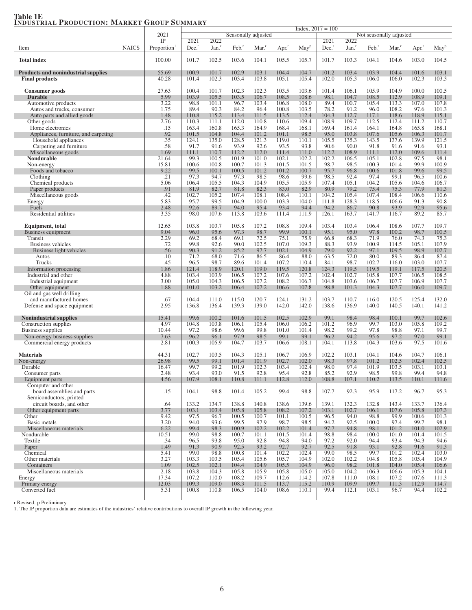## Table 1E<br>Industrial Production: Market Group Summary

| <b>END COTMEND TRODUCTION.</b> MERRILL                |              | $\mathbf{u}$                           | <u>UUMMILLI</u><br>Index, $2017 = 100$ |                           |                     |                     |                     |                     |                             |                          |                         |                   |                     |                  |
|-------------------------------------------------------|--------------|----------------------------------------|----------------------------------------|---------------------------|---------------------|---------------------|---------------------|---------------------|-----------------------------|--------------------------|-------------------------|-------------------|---------------------|------------------|
|                                                       |              | 2021                                   |                                        |                           |                     | Seasonally adjusted |                     |                     |                             |                          | Not seasonally adjusted |                   |                     |                  |
| Item                                                  | <b>NAICS</b> | $_{\rm IP}$<br>Proportion <sup>1</sup> | 2021<br>$Dec.$ <sup>r</sup>            | 2022<br>Jan. <sup>r</sup> | $Feb.$ <sup>r</sup> | Mar. <sup>1</sup>   | $Apr.$ <sup>r</sup> | $M$ ay <sup>p</sup> | 2021<br>$Dec.$ <sup>r</sup> | 2022<br>Jan <sup>r</sup> | $Feb.$ <sup>r</sup>     | Mar. <sup>1</sup> | $Apr.$ <sup>r</sup> | May <sup>p</sup> |
|                                                       |              |                                        |                                        |                           |                     |                     |                     |                     |                             |                          |                         |                   |                     |                  |
| <b>Total index</b>                                    |              | 100.00                                 | 101.7                                  | 102.5                     | 103.6               | 104.1               | 105.5               | 105.7               | 101.7                       | 103.3                    | 104.1                   | 104.6             | 103.0               | 104.5            |
| <b>Products and nonindustrial supplies</b>            |              | 55.69                                  | 100.9                                  | 101.7                     | 102.9               | 103.1               | 104.4               | 104.7               | 101.2                       | 103.4                    | 103.9                   | 104.4             | 101.6               | 103.1            |
| <b>Final products</b>                                 |              | 40.28                                  | 101.4                                  | 102.3                     | 103.4               | 103.8               | 105.1               | 105.4               | 102.0                       | 105.3                    | 106.0                   | 106.0             | 102.3               | 103.3            |
| Consumer goods                                        |              | 27.63                                  | 100.4                                  | 101.7                     | 102.3               | 102.3               | 103.5               | 103.6               | 101.4                       | 106.1                    | 105.9                   | 104.9             | 100.0               | 100.5            |
| <b>Durable</b>                                        |              | 5.99                                   | 103.9                                  | 105.5                     | 103.5               | 106.7               | 108.5               | 108.6               | 98.1                        | 104.7                    | 108.5                   | 112.9             | 108.9               | 109.1            |
| Automotive products                                   |              | 3.22                                   | 98.8                                   | 101.1                     | 96.7                | 103.4               | 106.8               | 108.0               | 89.4                        | 100.7                    | 105.4                   | 113.3             | 107.0               | 107.8            |
| Autos and trucks, consumer                            |              | 1.75                                   | 89.4                                   | 90.3                      | 84.2                | 96.4                | 100.8               | 103.5               | 78.2                        | 91.2                     | 96.0                    | 108.2             | 97.6                | 101.3            |
| Auto parts and allied goods<br>Other goods            |              | 1.48<br>2.76                           | 110.8<br>110.3                         | 115.2<br>111.1            | 113.4<br>112.0      | 111.5<br>110.8      | 113.5<br>110.6      | 112.4<br>109.4      | 104.3<br>108.9              | 112.7<br>109.7           | 117.1<br>112.5          | 118.6<br>112.4    | 118.9<br>111.2      | 115.1<br>110.7   |
| Home electronics                                      |              | .15                                    | 163.4                                  | 160.8                     | 165.3               | 164.9               | 168.4               | 168.1               | 169.4                       | 161.4                    | 164.1                   | 164.8             | 165.8               | 168.1            |
| Appliances, furniture, and carpeting                  |              | .92                                    | 101.5                                  | 104.8                     | 104.4               | 101.2               | 101.1               | 98.5                | 95.0                        | 103.8                    | 107.6                   | 105.6             | 106.3               | 101.7            |
| Household appliances                                  |              | .35                                    | 124.1                                  | 135.0                     | 128.5               | 121.3               | 119.0               | 110.1               | 105.5                       | 135.3                    | 143.5                   | 137.6             | 139.9               | 121.5            |
| Carpeting and furniture<br>Miscellaneous goods        |              | .58<br>1.69                            | 91.7<br>111.1                          | 91.6<br>110.7             | 93.9<br>112.2       | 92.6<br>112.0       | 93.5<br>111.4       | 93.8<br>111.0       | 90.6<br>112.2               | 90.0<br>108.9            | 91.8<br>111.1           | 91.6<br>112.0     | 91.6<br>109.6       | 93.1<br>111.4    |
| Nondurable                                            |              | 21.64                                  | 99.3                                   | 100.5                     | 101.9               | 101.0               | 102.1               | 102.2               | 102.2                       | 106.5                    | 105.1                   | 102.8             | 97.5                | 98.1             |
| Non-energy                                            |              | 15.81                                  | 100.6                                  | 100.8                     | 100.7               | 101.3               | 101.5               | 101.5               | 98.7                        | 98.5                     | 100.3                   | 101.4             | 99.9                | 100.9            |
| Foods and tobacco                                     |              | 9.22                                   | 99.5                                   | 100.1                     | 100.5               | 101.2               | 101.2               | 100.7               | 95.7                        | 96.8                     | 100.6                   | 101.8             | 99.6                | 99.5             |
| Clothing<br>Chemical products                         |              | .21<br>5.06                            | 97.3<br>106.4                          | 94.7<br>105.5             | 97.3<br>104.3       | 98.5<br>104.9       | 98.6<br>105.5       | 99.6<br>105.9       | 98.5<br>107.4               | 92.4<br>105.1            | 97.4<br>104.2           | 99.1<br>105.6     | 96.5<br>104.6       | 100.6<br>106.7   |
| Paper products                                        |              | .91                                    | 81.9                                   | 82.7                      | 81.8                | 82.3                | 83.0                | 82.9                | 80.9                        | 79.2                     | 75.4                    | 75.3              | 77.9                | 81.3             |
| Miscellaneous goods                                   |              | .42                                    | 102.7                                  | 105.2                     | 107.4               | 108.1               | 108.4               | 110.1               | 104.2                       | 105.4                    | 107.4                   | 108.4             | 106.6               | 110.6            |
| Energy                                                |              | 5.83                                   | 95.7                                   | 99.5                      | 104.9               | 100.0               | 103.3               | 104.0               | 111.8                       | 128.3                    | 118.5                   | 106.6             | 91.3                | 90.8             |
| Fuels<br>Residential utilities                        |              | 2.48<br>3.35                           | 92.6<br>98.0                           | 89.7<br>107.6             | 94.0<br>113.8       | 95.4<br>103.6       | 93.4<br>111.4       | 94.4<br>111.9       | 94.2<br>126.1               | 86.7<br>163.7            | 90.8<br>141.7           | 93.9<br>116.7     | 92.9<br>89.2        | 95.6<br>85.7     |
|                                                       |              |                                        |                                        |                           |                     |                     |                     |                     |                             |                          |                         |                   |                     |                  |
| Equipment, total                                      |              | 12.65                                  | 103.8                                  | 103.7                     | 105.8               | 107.2               | 108.8               | 109.4               | 103.4                       | 103.4                    | 106.4                   | 108.6             | 107.7               | 109.7            |
| Business equipment                                    |              | 9.04                                   | 96.0                                   | 95.6                      | 97.3                | 98.7                | 99.9                | 100.1               | 95.1                        | 95.0                     | 97.8                    | 100.2             | 98.7                | 100.5            |
| Transit<br>Business vehicles                          |              | 2.29<br>.72                            | 69.2<br>99.8                           | 68.4<br>92.6              | 69.1<br>90.0        | 72.5<br>102.5       | 75.1<br>107.0       | 75.9<br>109.3       | 66.8<br>88.3                | 68.3<br>93.9             | 71.9<br>100.9           | 76.0<br>114.5     | 74.3<br>105.1       | 75.3<br>107.9    |
| Business light vehicles                               |              | .56                                    | 90.3                                   | 91.2                      | 85.2                | 97.7                | 102.1               | 104.9               | 79.0                        | 92.2                     | 97.1                    | 109.5             | 98.9                | 102.7            |
| Autos                                                 |              | .10                                    | 71.2                                   | 68.0                      | 71.6                | 86.5                | 86.4                | 88.0                | 63.5                        | 72.0                     | 80.0                    | 89.3              | 86.4                | 87.4             |
| Trucks                                                |              | .45                                    | 96.5                                   | 98.7                      | 89.6                | 101.4               | 107.2               | 110.4               | 84.1                        | 98.7                     | 102.7                   | 116.0             | 103.0               | 107.7            |
| Information processing<br>Industrial and other        |              | 1.86<br>4.88                           | 121.4<br>103.4                         | 118.9<br>103.9            | 120.1<br>106.5      | 119.0<br>107.2      | 119.5<br>107.6      | 120.8<br>107.2      | 124.3<br>102.4              | 119.5<br>102.7           | 119.5<br>105.8          | 119.1<br>107.7    | 117.5<br>106.5      | 120.5<br>108.5   |
| Industrial equipment                                  |              | 3.00                                   | 105.0                                  | 104.3                     | 106.5               | 107.2               | 108.2               | 106.7               | 104.8                       | 103.6                    | 106.7                   | 107.7             | 106.9               | 107.7            |
| Other equipment                                       |              | 1.88                                   | 101.0                                  | 103.2                     | 106.4               | 107.2               | 106.6               | 107.8               | 98.8                        | 101.3                    | 104.3                   | 107.7             | 106.0               | 109.7            |
| Oil and gas well drilling                             |              |                                        |                                        |                           |                     |                     |                     |                     |                             |                          |                         |                   |                     |                  |
| and manufactured homes<br>Defense and space equipment |              | .67<br>2.95                            | 104.4<br>136.8                         | 111.0<br>136.4            | 115.0<br>139.3      | 120.7<br>139.0      | 124.1<br>142.0      | 131.2<br>142.0      | 103.7<br>138.6              | 110.7<br>136.9           | 116.0<br>140.0          | 120.5<br>140.5    | 125.4<br>140.1      | 132.0<br>141.2   |
|                                                       |              |                                        |                                        |                           |                     |                     |                     |                     |                             |                          |                         |                   |                     |                  |
| <b>Nonindustrial supplies</b>                         |              | 15.41                                  | 99.6                                   | 100.2                     | 101.6               | 101.5               | 102.5               | 102.9               | 99.1                        | 98.4                     | 98.4                    | 100.1             | 99.7                | 102.6            |
| Construction supplies                                 |              | 4.97                                   | 104.8                                  | 103.8                     | 106.1               | 105.4               | 106.0               | 106.2               | 101.2                       | 96.9                     | 99.7                    | 103.0             | 105.8               | 109.2            |
| Business supplies<br>Non-energy business supplies     |              | 10.44<br>7.63                          | 97.2<br>96.2                           | 98.6<br>96.1              | 99.6<br>97.9        | 99.8<br>98.5        | 101.0<br>99.1       | 101.4<br>99.1       | 98.2<br>96.2                | 99.2<br>94.2             | 97.8<br>95.6            | 98.8<br>97.2      | 97.1<br>97.0        | 99.7<br>99.1     |
| Commercial energy products                            |              | 2.81                                   | 100.3                                  | 105.9                     | 104.7               | 103.7               | 106.6               | 108.1               | 104.1                       | 113.8                    | 104.3                   | 103.6             | 97.5                | 101.6            |
|                                                       |              |                                        |                                        |                           |                     |                     |                     |                     |                             |                          |                         |                   |                     |                  |
| <b>Materials</b>                                      |              | 44.31                                  | 102.7                                  | 103.5                     | 104.3               | 105.1               | 106.7               | 106.9               | 102.2                       | 103.1                    | 104.1                   | 104.6             | 104.7               | 106.1            |
| Non-energy<br>Durable                                 |              | 26.98<br>16.47                         | 99.5<br>99.7                           | 99.1<br>99.2              | 101.4<br>101.9      | 101.9<br>102.3      | 102.7<br>103.4      | 102.0<br>102.4      | 98.3<br>98.0                | 97.8<br>97.4             | 101.2<br>101.9          | 102.5<br>103.5    | 102.4<br>103.1      | 102.5<br>103.1   |
| Consumer parts                                        |              | 2.48                                   | 93.4                                   | 93.0                      | 91.5                | 92.8                | 95.4                | 92.8                | 85.2                        | 92.9                     | 98.5                    | 99.8              | 99.4                | 94.8             |
| Equipment parts                                       |              | 4.56                                   | 107.9                                  | 108.1                     | 110.8               | 111.1               | 112.8               | 112.0               | 108.8                       | 107.1                    | 110.2                   | 113.5             | 110.1               | 111.6            |
| Computer and other<br>board assemblies and parts      |              |                                        | 104.1                                  | 98.8                      | 101.4               | 105.2               | 99.4                | 98.8                | 107.7                       | 92.3                     | 95.9                    | 117.2             | 96.7                | 95.3             |
| Semiconductors, printed                               |              | .15                                    |                                        |                           |                     |                     |                     |                     |                             |                          |                         |                   |                     |                  |
| circuit boards, and other                             |              | .64                                    | 133.2                                  | 134.7                     | 138.8               | 140.8               | 138.6               | 139.6               | 139.1                       | 132.3                    | 132.8                   | 143.4             | 133.7               | 136.4            |
| Other equipment parts                                 |              | 3.77                                   | 103.1                                  | 103.4                     | 105.8               | 105.8               | 108.2               | 107.2               | 103.1                       | 102.7                    | 106.1                   | 107.6             | 105.8               | 107.3            |
| Other<br>Basic metals                                 |              | 9.42<br>3.20                           | 97.5<br>94.0                           | 96.7<br>93.6              | 100.5<br>99.5       | 100.7<br>97.9       | 101.1<br>98.7       | 100.5               | 96.5<br>94.2                | 94.0<br>92.5             | 98.8<br>100.0           | 99.9<br>97.4      | 100.6<br>99.7       | 101.3<br>98.1    |
| Miscellaneous materials                               |              | 6.22                                   | 99.4                                   | 98.3                      | 100.9               | 102.2               | 102.2               | 98.5<br>101.4       | 97.7                        | 94.8                     | 98.1                    | 101.2             | 101.0               | 102.9            |
| Nondurable                                            |              | 10.51                                  | 99.0                                   | 98.8                      | 100.7               | 101.1               | 101.5               | 101.4               | 98.8                        | 98.4                     | 100.0                   | 101.0             | 101.4               | 101.5            |
| Textile                                               |              | .34                                    | 96.5                                   | 93.8                      | 95.0                | 92.8                | 94.8                | 94.0                | 97.2                        | 92.0                     | 94.4                    | 93.4              | 94.3                | 94.6             |
| Paper                                                 |              | 1.49                                   | 91.3                                   | 90.9                      | 92.5                | 93.2                | 92.7                | 92.7                | 92.5                        | 91.8                     | 93.1                    | 92.8              | 91.6                | 91.3             |
| Chemical<br>Other materials                           |              | 5.41<br>3.27                           | 99.0<br>103.3                          | 98.8<br>103.5             | 100.8<br>105.4      | 101.4<br>105.6      | 102.2<br>105.7      | 102.4<br>104.9      | 99.0<br>102.0               | 98.5<br>102.2            | 99.7<br>104.8           | 101.2<br>105.8    | 102.4<br>105.4      | 103.0<br>104.9   |
| Containers                                            |              | 1.09                                   | 102.5                                  | 102.1                     | 104.4               | 104.9               | 105.5               | 104.9               | 96.0                        | 98.2                     | 101.8                   | 104.0             | 105.4               | 106.6            |
| Miscellaneous materials                               |              | 2.18                                   | 103.8                                  | 104.3                     | 105.8               | 105.9               | 105.8               | 105.0               | 105.0                       | 104.2                    | 106.3                   | 106.6             | 105.3               | 104.1            |
| Energy                                                |              | 17.34<br>12.03                         | 107.2<br>109.3                         | 110.0                     | 108.2               | 109.7               | 112.6               | 114.2               | 107.8                       | 111.0                    | 108.1                   | 107.2             | 107.6<br>112.9      | 111.3            |
| Primary energy<br>Converted fuel                      |              | 5.31                                   | 100.8                                  | 109.0<br>110.8            | 108.3<br>106.5      | 111.5<br>104.0      | 113.7<br>108.6      | 115.2<br>110.1      | 110.9<br>99.4               | 109.9<br>112.1           | 109.7<br>103.1          | 111.3<br>96.7     | 94.4                | 114.7<br>102.2   |
|                                                       |              |                                        |                                        |                           |                     |                     |                     |                     |                             |                          |                         |                   |                     |                  |

r Revised. p Preliminary. 1. The IP proportion data are estimates of the industries' relative contributions to overall IP growth in the following year.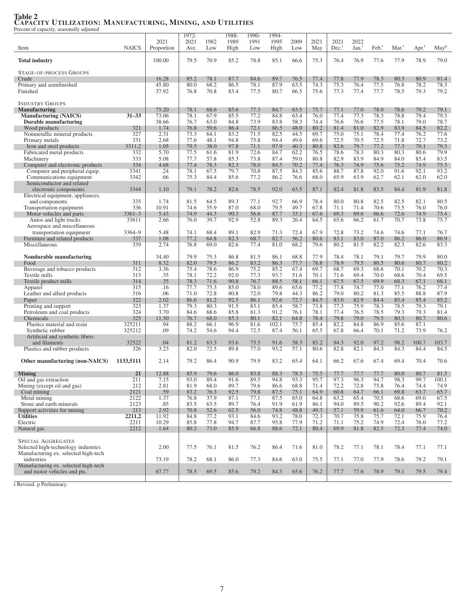|                                                                  |              |                | 1972-        |              | 1988-        | 1990-        | 1994-        |              |              |                     |                   |              |                   |              |                  |
|------------------------------------------------------------------|--------------|----------------|--------------|--------------|--------------|--------------|--------------|--------------|--------------|---------------------|-------------------|--------------|-------------------|--------------|------------------|
|                                                                  |              | 2021           | 2021         | 1982         | 1989         | 1991         | 1995         | 2009         | 2021         | 2021                | 2022              |              |                   |              |                  |
| Item                                                             | <b>NAICS</b> | Proportion     | Ave.         | Low          | High         | Low          | High         | Low          | May          | $Dec.$ <sup>r</sup> | Jan. <sup>r</sup> | Feb.         | Mar. <sup>1</sup> | Apr.         | May <sup>p</sup> |
|                                                                  |              | 100.00         | 79.5         | 70.9         | 85.2         | 78.8         | 85.1         | 66.6         | 75.3         | 76.4                | 76.9              | 77.6         | 77.9              | 78.9         | 79.0             |
| <b>Total industry</b>                                            |              |                |              |              |              |              |              |              |              |                     |                   |              |                   |              |                  |
| <b>STAGE-OF-PROCESS GROUPS</b>                                   |              |                |              |              |              |              |              |              |              |                     |                   |              |                   |              |                  |
| Crude                                                            |              | 16.28          | 85.2         | 78.1         | 87.7         | 84.6         | 89.7         | 76.5         | 77.4         | 77.8                | 77.9              | 78.3         | 80.3              | 80.9         | 81.4             |
| Primary and semifinished                                         |              | 45.80          | 80.0         | 68.2         | 86.5         | 78.1         | 87.9         | 63.5         | 74.3         | 75.3                | 76.4              | 77.5         | 76.8              | 78.2         | 78.3             |
| Finished                                                         |              | 37.92          | 76.8         | 70.8         | 83.4         | 77.5         | 80.7         | 66.5         | 75.6         | 77.3                | 77.4              | 77.7         | 78.5              | 79.3         | 79.2             |
|                                                                  |              |                |              |              |              |              |              |              |              |                     |                   |              |                   |              |                  |
| <b>INDUSTRY GROUPS</b>                                           |              |                |              |              |              |              |              |              |              |                     |                   |              |                   |              |                  |
| <b>Manufacturing</b>                                             | $31 - 33$    | 75.20<br>73.06 | 78.1<br>78.1 | 68.6<br>67.9 | 85.6<br>85.5 | 77.3<br>77.2 | 84.7<br>84.8 | 63.5<br>63.4 | 75.7<br>76.0 | 77.1<br>77.4        | 77.0<br>77.3      | 78.0<br>78.3 | 78.6<br>78.8      | 79.2<br>79.4 | 79.1<br>79.3     |
| <b>Manufacturing (NAICS)</b><br>Durable manufacturing            |              | 38.66          | 76.7         | 63.0         | 84.8         | 73.9         | 83.8         | 58.3         | 74.4         | 76.6                | 76.6              | 77.5         | 78.1              | 79.0         | 78.7             |
| Wood products                                                    | 321          | 1.74           | 76.8         | 59.6         | 86.4         | 72.1         | 86.5         | 48.0         | 80.2         | 81.4                | 81.0              | 82.9         | 83.9              | 84.5         | 82.2             |
| Nonmetallic mineral products                                     | 327          | 2.31           | 73.3         | 64.1         | 83.2         | 71.5         | 82.5         | 44.5         | 69.7         | 75.0                | 75.1              | 78.4         | 77.4              | 76.2         | 77.6             |
| Primary metals                                                   | 331          | 2.68           | 77.6         | 48.1         | 94.8         | 75.8         | 94.4         | 49.6         | 69.6         | 72.5                | 70.5              | 72.5         | 71.8              | 72.7         | 73.2             |
| Iron and steel products                                          | 3311,2       | 1.05           | 79.5         | 38.0         | 97.8         | 71.1         | 97.9         | 40.3         | 80.8         | 82.6                | 79.7              | 77.2         | 77.3              | 79.1         | 79.3             |
| Fabricated metal products                                        | 332          | 5.70           | 77.5         | 61.6         | 81.9         | 72.6         | 84.7         | 62.2         | 76.5         | 78.6                | 78.3              | 80.3         | 80.3              | 80.6         | 79.9             |
| Machinery                                                        | 333          | 5.08           | 77.7         | 57.8         | 85.3         | 73.8         | 87.4         | 59.0         | 80.8         | 82.9                | 83.9              | 84.9         | 84.0              | 85.4         | 83.5             |
| Computer and electronic products                                 | 334          | 4.68<br>.24    | 77.4         | 78.3         | 82.3<br>79.7 | 78.0         | 84.5<br>87.5 | 70.2<br>84.3 | 77.4         | 76.3<br>88.7        | 74.9<br>87.8      | 75.6         | 75.2              | 74.9<br>92.1 | 75.3<br>93.2     |
| Computer and peripheral equip.<br>Communications equipment       | 3341<br>3342 | .66            | 78.1<br>75.3 | 67.5<br>84.4 | 85.6         | 70.8<br>77.2 | 86.2         | 76.6         | 85.6<br>68.0 | 65.9                | 63.9              | 92.0<br>62.7 | 91.6<br>62.1      | 62.0         | 62.0             |
| Semiconductor and related                                        |              |                |              |              |              |              |              |              |              |                     |                   |              |                   |              |                  |
| electronic components                                            | 3344         | 1.10           | 79.1         | 78.2         | 82.6         | 78.5         | 92.0         | 63.5         | 87.1         | 82.4                | 81.8              | 83.5         | 84.4              | 81.9         | 81.8             |
| Electrical equipment, appliances,                                |              |                |              |              |              |              |              |              |              |                     |                   |              |                   |              |                  |
| and components                                                   | 335          | 1.74           | 81.5         | 64.5         | 89.3         | 77.1         | 92.7         | 66.9         | 78.4         | 80.0                | 80.8              | 82.5         | 82.5              | 82.1         | 80.5             |
| Transportation equipment                                         | 336          | 10.91          | 74.6         | 55.9         | 87.0         | 68.0         | 79.5         | 49.7         | 67.8         | 71.1                | 71.4              | 70.6         | 73.5              | 76.0         | 76.0             |
| Motor vehicles and parts                                         | $3361 - 3$   | 5.43           | 74.9         | 44.3         | 90.3         | 56.6         | 87.7         | 33.1         | 67.6         | 69.3                | 69.6              | 66.6         | 72.6              | 74.9         | 75.4             |
| Autos and light trucks                                           | 33611        | 2.66           | 76.0         | 39.7         | 92.9         | 52.8         | 89.3         | 26.4         | 64.5         | 65.6                | 66.2              | 61.7         | 70.7              | 73.8         | 75.7             |
| Aerospace and miscellaneous                                      | 3364-9       | 5.48           | 74.1         | 68.4         | 89.1         | 82.9         | 71.3         | 72.4         | 67.9         | 72.8                | 73.2              | 74.6         | 74.6              | 77.1         | 76.7             |
| transportation equipment<br>Furniture and related products       | 337          | 1.08           | 77.2         | 64.8         | 82.3         | 68.7         | 82.7         | 56.2         | 80.6         | 83.1                | 83.0              | 87.0         | 86.2              | 86.0         | 86.9             |
| Miscellaneous                                                    | 339          | 2.74           | 76.8         | 69.0         | 82.6         | 77.4         | 81.0         | 68.2         | 79.6         | 80.2                | 81.5              | 82.2         | 82.3              | 82.6         | 83.3             |
|                                                                  |              |                |              |              |              |              |              |              |              |                     |                   |              |                   |              |                  |
| Nondurable manufacturing                                         |              | 34.40          | 79.9         | 75.3         | 86.8         | 81.5         | 86.1         | 68.8         | 77.9         | 78.4                | 78.1              | 79.1         | 79.7              | 79.9         | 80.0             |
| Food                                                             | 311          | 8.32           | 82.0         | 79.5         | 86.2         | 83.2         | 86.3         | 77.7         | 78.8         | 78.9                | 79.5              | 80.5         | 80.6              | 80.7         | 80.2             |
| Beverage and tobacco products                                    | 312          | 3.36           | 75.4         | 78.6         | 86.9         | 75.2         | 85.2         | 67.4         | 69.7         | 68.7                | 69.3              | 68.6         | 70.1              | 70.2         | 70.3             |
| Textile mills                                                    | 313          | .35            | 78.1         | 72.2         | 92.0         | 77.3         | 93.7         | 51.6         | 70.1         | 71.6                | 69.4              | 70.0         | 68.6              | 70.4         | 69.5             |
| Textile product mills                                            | 314<br>315   | .35            | 78.3<br>77.7 | 71.6         | 90.8         | 76.7<br>78.0 | 88.5<br>89.6 | 58.1         | 66.1<br>77.2 | 67.5<br>77.8        | 67.5<br>74.7      | 69.9<br>77.0 | 68.3<br>77.1      | 67.1<br>76.2 | 68.1<br>77.4     |
| Apparel<br>Leather and allied products                           | 316          | .16<br>.06     | 71.0         | 75.3<br>72.8 | 85.0<br>80.8 | 72.0         | 79.8         | 65.6<br>44.3 | 86.2         | 79.0                | 80.2              | 81.3         | 85.5              | 88.8         | 87.9             |
| Paper                                                            | 322          | 2.02           | 86.6         | 81.2         | 92.5         | 86.1         | 92.6         | 72.7         | 84.5         | 83.0                | 82.9              | 84.4         | 85.4              | 85.4         | 85.2             |
| Printing and support                                             | 323          | 1.37           | 79.3         | 80.3         | 91.5         | 83.1         | 85.4         | 58.7         | 73.8         | 77.3                | 75.9              | 78.3         | 78.5              | 79.3         | 79.1             |
| Petroleum and coal products                                      | 324          | 3.70           | 84.6         | 68.6         | 85.8         | 81.3         | 91.2         | 76.1         | 78.1         | 77.4                | 76.5              | 78.5         | 79.3              | 79.3         | 81.4             |
| Chemicals                                                        | 325          | 11.50          | 76.7         | 68.0         | 85.3         | 80.1         | 82.1         | 64.8         | 78.4         | 79.8                | 79.0              | 79.5         | 80.3              | 80.7         | 80.6             |
| Plastics material and resin                                      | 325211       | .94            | 88.2         | 66.1         | 96.9         | 81.6         | 102.1        | 75.7         | 85.4         | 82.2                | 84.8              | 86.9         | 85.6              | 87.1         |                  |
| Synthetic rubber                                                 | 325212       | .09            | 74.2         | 54.6         | 94.4         | 72.5         | 87.4         | 56.1         | 65.5         | 67.8                | 66.4              | 70.1         | 71.2              | 73.9         | 76.2             |
| Artificial and synthetic fibers<br>and filaments                 | 32522        | .04            | 81.2         | 63.3         | 93.6         | 75.5         | 91.6         |              | 85.2         | 94.3                | 92.0              | 97.2         | 98.2              | 100.7        | 103.7            |
| Plastics and rubber products                                     | 326          | 3.23           | 82.0         | 72.5         | 89.8         | 77.0         | 93.2         | 58.3<br>57.1 | 80.6         | 82.8                | 82.1              | 84.3         | 84.3              | 84.4         | 84.5             |
|                                                                  |              |                |              |              |              |              |              |              |              |                     |                   |              |                   |              |                  |
| Other manufacturing (non-NAICS)                                  | 1133,5111    | 2.14           | 79.2         | 86.4         | 90.9         | 79.9         | 83.2         | 65.4         | 64.1         | 66.2                | 67.6              | 67.4         | 69.4              | 70.4         | 70.6             |
|                                                                  |              |                |              |              |              |              |              |              |              |                     |                   |              |                   |              |                  |
| <b>Mining</b>                                                    | 21           | 12.88          | 85.9         | 79.6         | 86.0         | 83.8         | 88.3         | 78.3         | 75.5         | 77.7                | 77.7              | 77.7         | 80.0              | 80.7         | 81.5             |
| Oil and gas extraction                                           | 211          | 7.15           | 93.0         | 89.4         | 91.6         | 89.5         | 94.8         | 93.3         | 95.7         | 97.3                | 96.3              | 94.7         | 98.3              | 99.7         | 100.1            |
| Mining (except oil and gas)                                      | 212          | 2.81           | 81.9         | 68.0         | 89.7         | 79.6         | 86.6         | 68.8         | 71.4         | 72.2                | 72.8              | 75.8         | 76.4              | 74.4         | 74.9             |
| Coal mining<br>Metal mining                                      | 2121<br>2122 | .59<br>1.37    | 83.2<br>76.8 | 76.3<br>37.9 | 92.5<br>87.1 | 79.8<br>77.1 | 87.5<br>87.5 | 75.1<br>65.0 | 64.9<br>64.8 | 60.8<br>63.2        | 64.7<br>65.4      | 66.1<br>70.5 | 69.8<br>68.6      | 63.7<br>69.0 | 65.7<br>67.5     |
| Stone and earth minerals                                         | 2123         | .85            | 83.5         | 63.5         | 89.7         | 76.4         | 91.9         | 61.9         | 86.1         | 94.0                | 89.5              | 90.2         | 92.6              | 89.4         | 92.1             |
| Support activities for mining                                    | 213          | 2.92           | 70.8         | 52.6         | 62.5         | 56.0         | 74.8         | 48.8         | 49.3         | 57.1                | 59.9              | 61.6         | 64.0              | 66.7         | 70.2             |
| <b>Utilities</b>                                                 | 2211,2       | 11.92          | 84.8         | 77.2         | 93.1         | 84.6         | 93.2         | 78.0         | 72.3         | 70.7                | 75.8              | 75.7         | 72.1              | 75.9         | 76.4             |
| Electric                                                         | 2211         | 10.29          | 85.8         | 77.8         | 94.7         | 87.7         | 95.8         | 77.9         | 71.2         | 71.1                | 75.2              | 74.9         | 72.4              | 76.0         | 77.2             |
| Natural gas                                                      | 2212         | 1.64           | 80.2         | 73.0         | 85.9         | 66.8         | 88.6         | 72.1         | 80.4         | 69.9                | 81.8              | 82.5         | 72.3              | 77.4         | 74.0             |
|                                                                  |              |                |              |              |              |              |              |              |              |                     |                   |              |                   |              |                  |
| <b>SPECIAL AGGREGATES</b><br>Selected high-technology industries |              |                | 77.5         |              |              | 76.2         |              | 71.6         |              |                     | 77.1              | 78.1         |                   | 77.1         |                  |
| Manufacturing ex. selected high-tech                             |              | 2.00           |              | 76.1         | 81.5         |              | 86.4         |              | 81.0         | 78.2                |                   |              | 78.4              |              | 77.1             |
| industries                                                       |              | 73.19          | 78.2         | 68.1         | 86.0         | 77.3         | 84.6         | 63.0         | 75.5         | 77.1                | 77.0              | 77.9         | 78.6              | 79.2         | 79.1             |
| Manufacturing ex. selected high-tech                             |              |                |              |              |              |              |              |              |              |                     |                   |              |                   |              |                  |
| and motor vehicles and pts.                                      |              | 67.77          | 78.5         | 69.5         | 85.6         | 79.2         | 84.3         | 65.6         | 76.2         | 77.7                | 77.6              | 78.9         | 79.1              | 79.5         | 79.4             |
|                                                                  |              |                |              |              |              |              |              |              |              |                     |                   |              |                   |              |                  |

## Table 2 CAPACITY UTILIZATION: MANUFACTURING, MINING, AND UTILITIES Percent of capacity, seasonally adjusted

r Revised. p Preliminary.